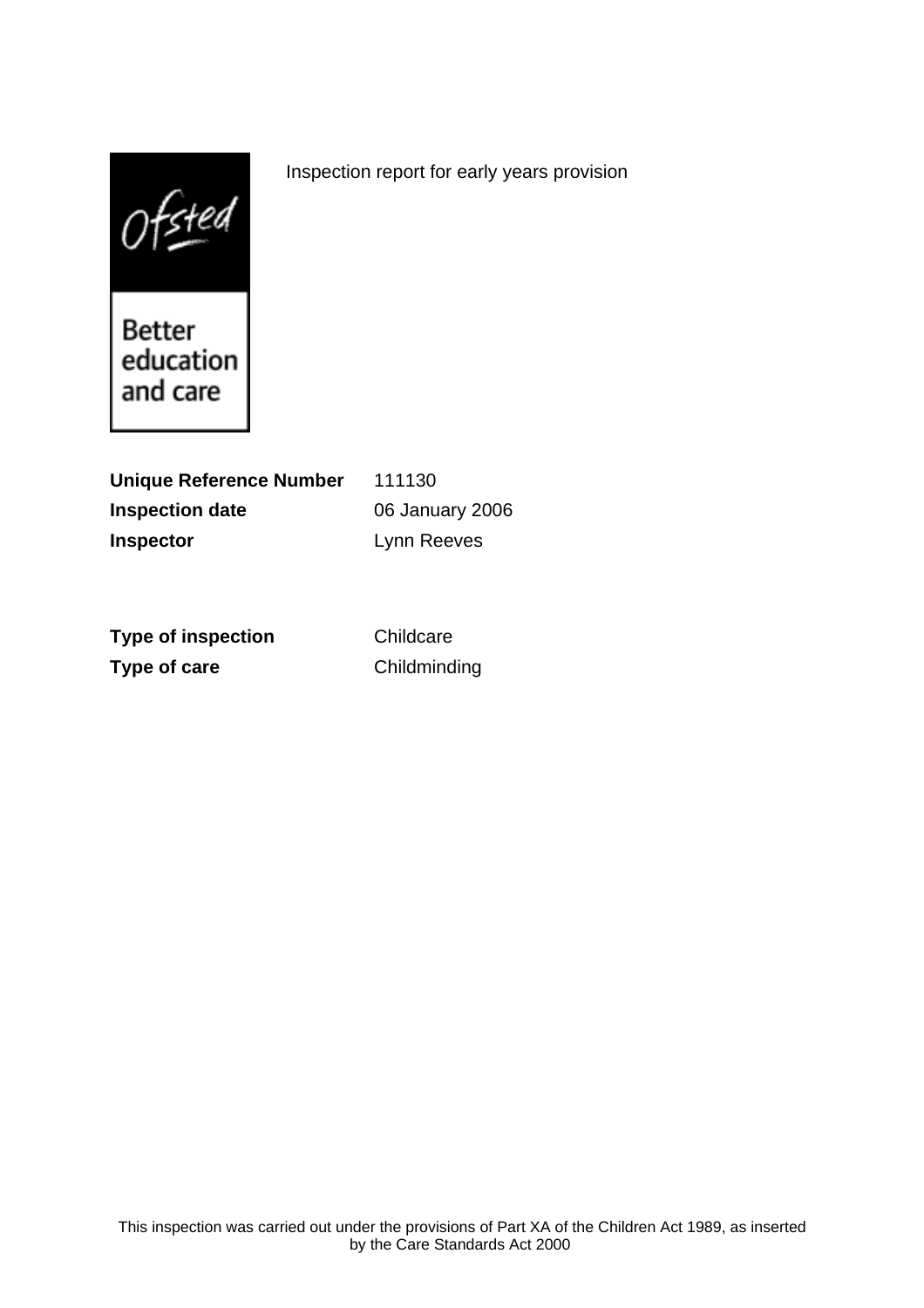$0$ fsted

Better education and care

**Unique Reference Number** 111130 **Inspection date** 06 January 2006 **Inspector** Lynn Reeves

**Type of inspection** Childcare **Type of care** Childminding

Inspection report for early years provision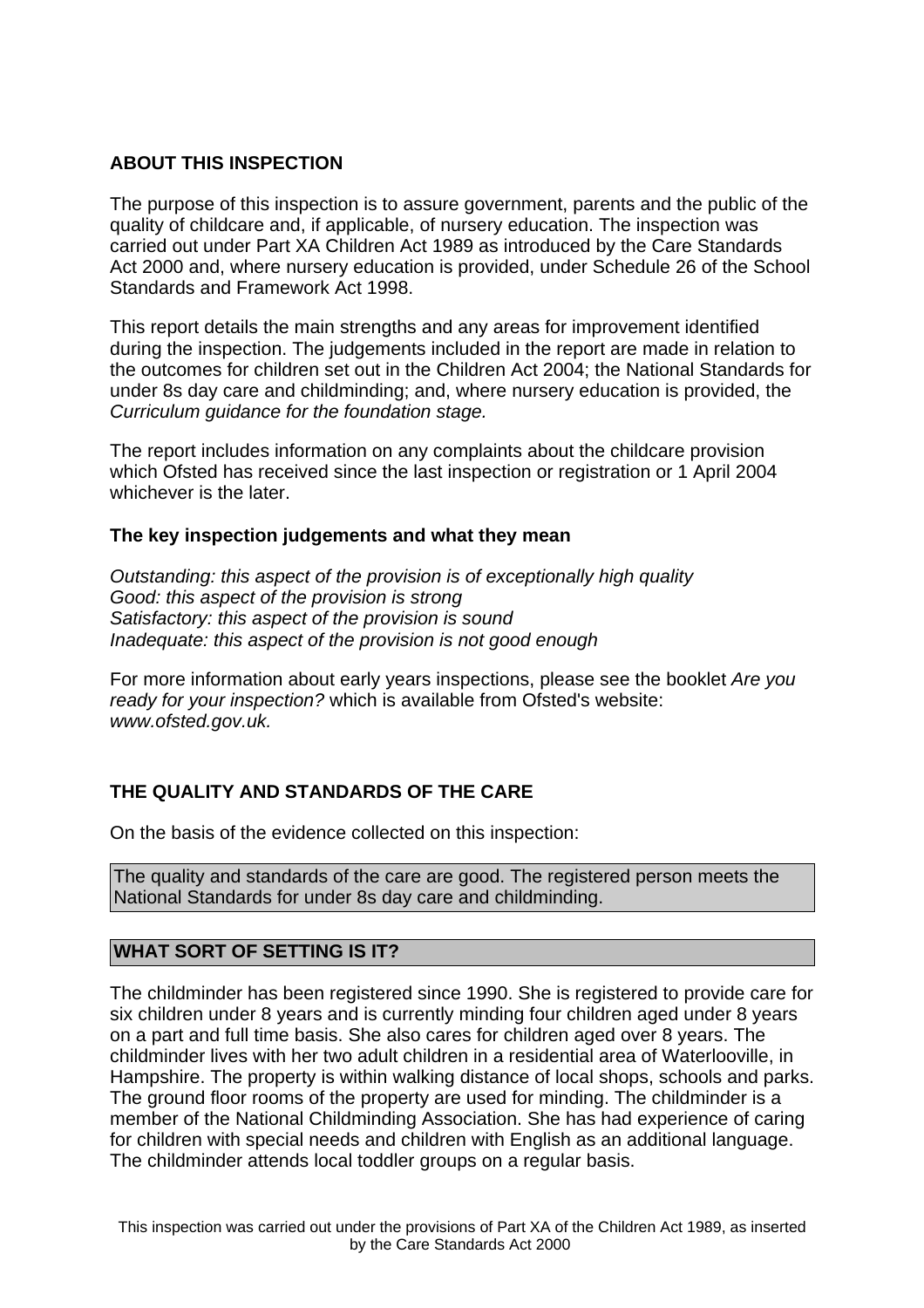### **ABOUT THIS INSPECTION**

The purpose of this inspection is to assure government, parents and the public of the quality of childcare and, if applicable, of nursery education. The inspection was carried out under Part XA Children Act 1989 as introduced by the Care Standards Act 2000 and, where nursery education is provided, under Schedule 26 of the School Standards and Framework Act 1998.

This report details the main strengths and any areas for improvement identified during the inspection. The judgements included in the report are made in relation to the outcomes for children set out in the Children Act 2004; the National Standards for under 8s day care and childminding; and, where nursery education is provided, the Curriculum guidance for the foundation stage.

The report includes information on any complaints about the childcare provision which Ofsted has received since the last inspection or registration or 1 April 2004 whichever is the later.

### **The key inspection judgements and what they mean**

Outstanding: this aspect of the provision is of exceptionally high quality Good: this aspect of the provision is strong Satisfactory: this aspect of the provision is sound Inadequate: this aspect of the provision is not good enough

For more information about early years inspections, please see the booklet Are you ready for your inspection? which is available from Ofsted's website: www.ofsted.gov.uk.

## **THE QUALITY AND STANDARDS OF THE CARE**

On the basis of the evidence collected on this inspection:

The quality and standards of the care are good. The registered person meets the National Standards for under 8s day care and childminding.

### **WHAT SORT OF SETTING IS IT?**

The childminder has been registered since 1990. She is registered to provide care for six children under 8 years and is currently minding four children aged under 8 years on a part and full time basis. She also cares for children aged over 8 years. The childminder lives with her two adult children in a residential area of Waterlooville, in Hampshire. The property is within walking distance of local shops, schools and parks. The ground floor rooms of the property are used for minding. The childminder is a member of the National Childminding Association. She has had experience of caring for children with special needs and children with English as an additional language. The childminder attends local toddler groups on a regular basis.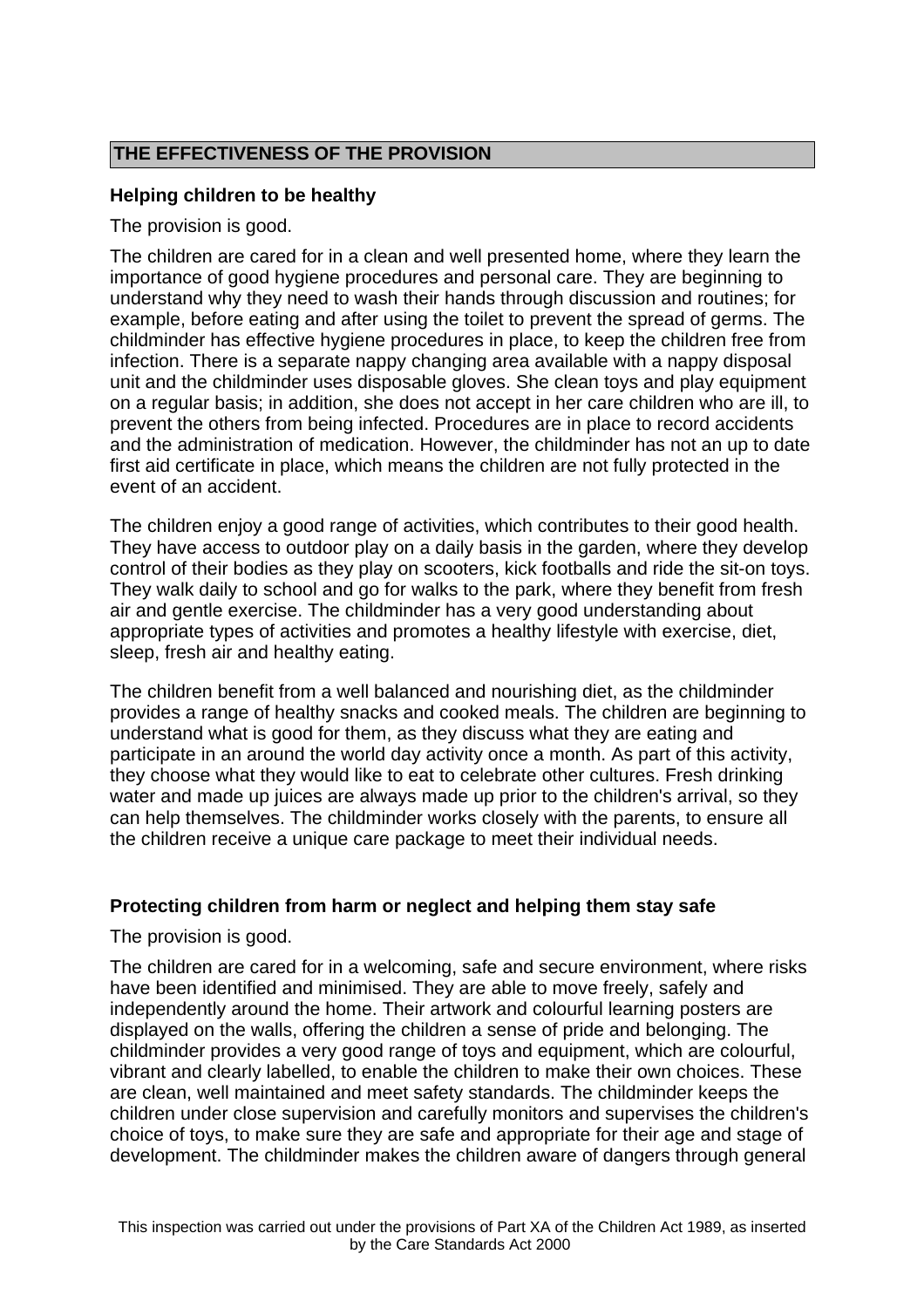# **THE EFFECTIVENESS OF THE PROVISION**

### **Helping children to be healthy**

The provision is good.

The children are cared for in a clean and well presented home, where they learn the importance of good hygiene procedures and personal care. They are beginning to understand why they need to wash their hands through discussion and routines; for example, before eating and after using the toilet to prevent the spread of germs. The childminder has effective hygiene procedures in place, to keep the children free from infection. There is a separate nappy changing area available with a nappy disposal unit and the childminder uses disposable gloves. She clean toys and play equipment on a regular basis; in addition, she does not accept in her care children who are ill, to prevent the others from being infected. Procedures are in place to record accidents and the administration of medication. However, the childminder has not an up to date first aid certificate in place, which means the children are not fully protected in the event of an accident.

The children enjoy a good range of activities, which contributes to their good health. They have access to outdoor play on a daily basis in the garden, where they develop control of their bodies as they play on scooters, kick footballs and ride the sit-on toys. They walk daily to school and go for walks to the park, where they benefit from fresh air and gentle exercise. The childminder has a very good understanding about appropriate types of activities and promotes a healthy lifestyle with exercise, diet, sleep, fresh air and healthy eating.

The children benefit from a well balanced and nourishing diet, as the childminder provides a range of healthy snacks and cooked meals. The children are beginning to understand what is good for them, as they discuss what they are eating and participate in an around the world day activity once a month. As part of this activity, they choose what they would like to eat to celebrate other cultures. Fresh drinking water and made up juices are always made up prior to the children's arrival, so they can help themselves. The childminder works closely with the parents, to ensure all the children receive a unique care package to meet their individual needs.

### **Protecting children from harm or neglect and helping them stay safe**

The provision is good.

The children are cared for in a welcoming, safe and secure environment, where risks have been identified and minimised. They are able to move freely, safely and independently around the home. Their artwork and colourful learning posters are displayed on the walls, offering the children a sense of pride and belonging. The childminder provides a very good range of toys and equipment, which are colourful, vibrant and clearly labelled, to enable the children to make their own choices. These are clean, well maintained and meet safety standards. The childminder keeps the children under close supervision and carefully monitors and supervises the children's choice of toys, to make sure they are safe and appropriate for their age and stage of development. The childminder makes the children aware of dangers through general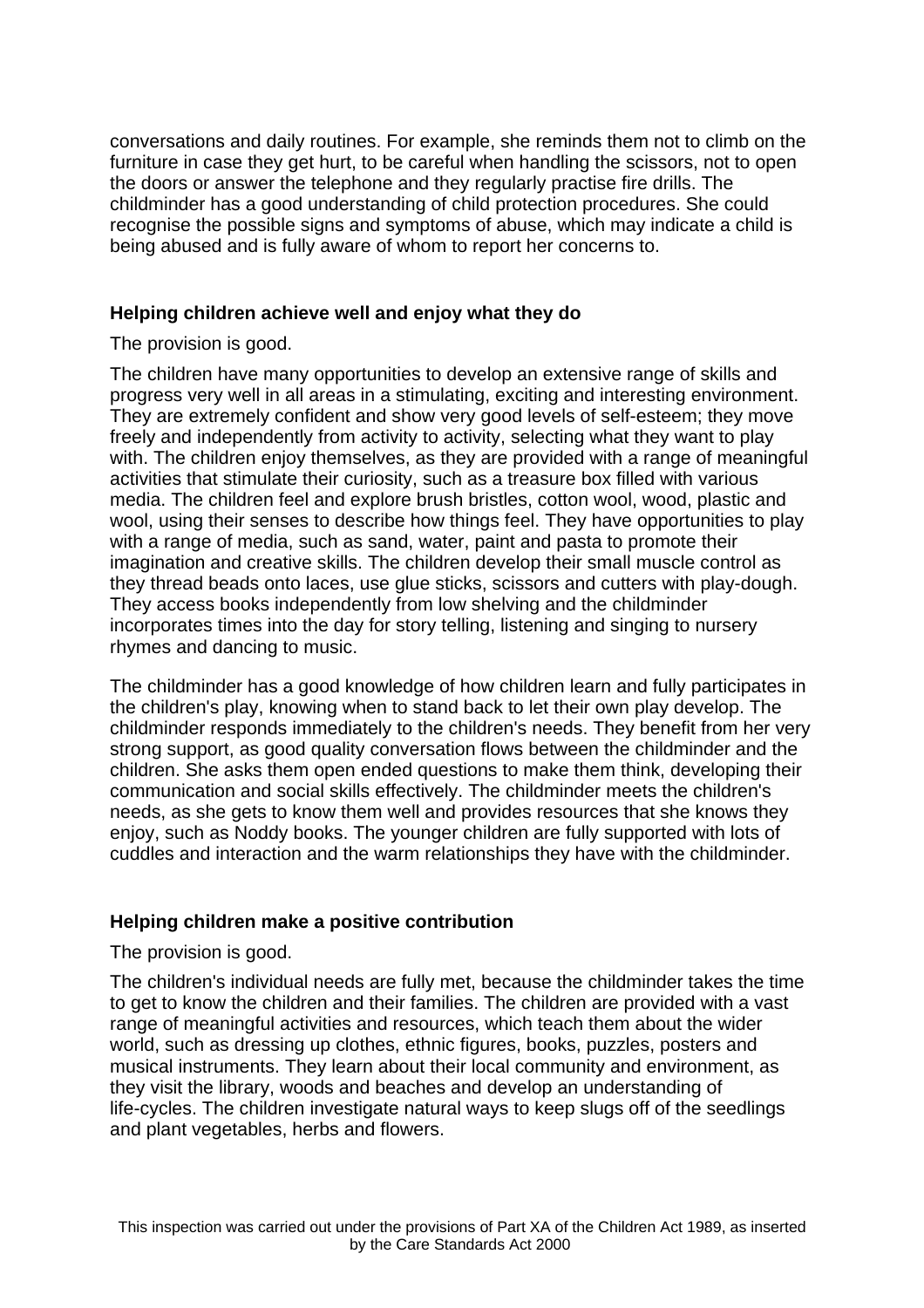conversations and daily routines. For example, she reminds them not to climb on the furniture in case they get hurt, to be careful when handling the scissors, not to open the doors or answer the telephone and they regularly practise fire drills. The childminder has a good understanding of child protection procedures. She could recognise the possible signs and symptoms of abuse, which may indicate a child is being abused and is fully aware of whom to report her concerns to.

### **Helping children achieve well and enjoy what they do**

The provision is good.

The children have many opportunities to develop an extensive range of skills and progress very well in all areas in a stimulating, exciting and interesting environment. They are extremely confident and show very good levels of self-esteem; they move freely and independently from activity to activity, selecting what they want to play with. The children enjoy themselves, as they are provided with a range of meaningful activities that stimulate their curiosity, such as a treasure box filled with various media. The children feel and explore brush bristles, cotton wool, wood, plastic and wool, using their senses to describe how things feel. They have opportunities to play with a range of media, such as sand, water, paint and pasta to promote their imagination and creative skills. The children develop their small muscle control as they thread beads onto laces, use glue sticks, scissors and cutters with play-dough. They access books independently from low shelving and the childminder incorporates times into the day for story telling, listening and singing to nursery rhymes and dancing to music.

The childminder has a good knowledge of how children learn and fully participates in the children's play, knowing when to stand back to let their own play develop. The childminder responds immediately to the children's needs. They benefit from her very strong support, as good quality conversation flows between the childminder and the children. She asks them open ended questions to make them think, developing their communication and social skills effectively. The childminder meets the children's needs, as she gets to know them well and provides resources that she knows they enjoy, such as Noddy books. The younger children are fully supported with lots of cuddles and interaction and the warm relationships they have with the childminder.

## **Helping children make a positive contribution**

The provision is good.

The children's individual needs are fully met, because the childminder takes the time to get to know the children and their families. The children are provided with a vast range of meaningful activities and resources, which teach them about the wider world, such as dressing up clothes, ethnic figures, books, puzzles, posters and musical instruments. They learn about their local community and environment, as they visit the library, woods and beaches and develop an understanding of life-cycles. The children investigate natural ways to keep slugs off of the seedlings and plant vegetables, herbs and flowers.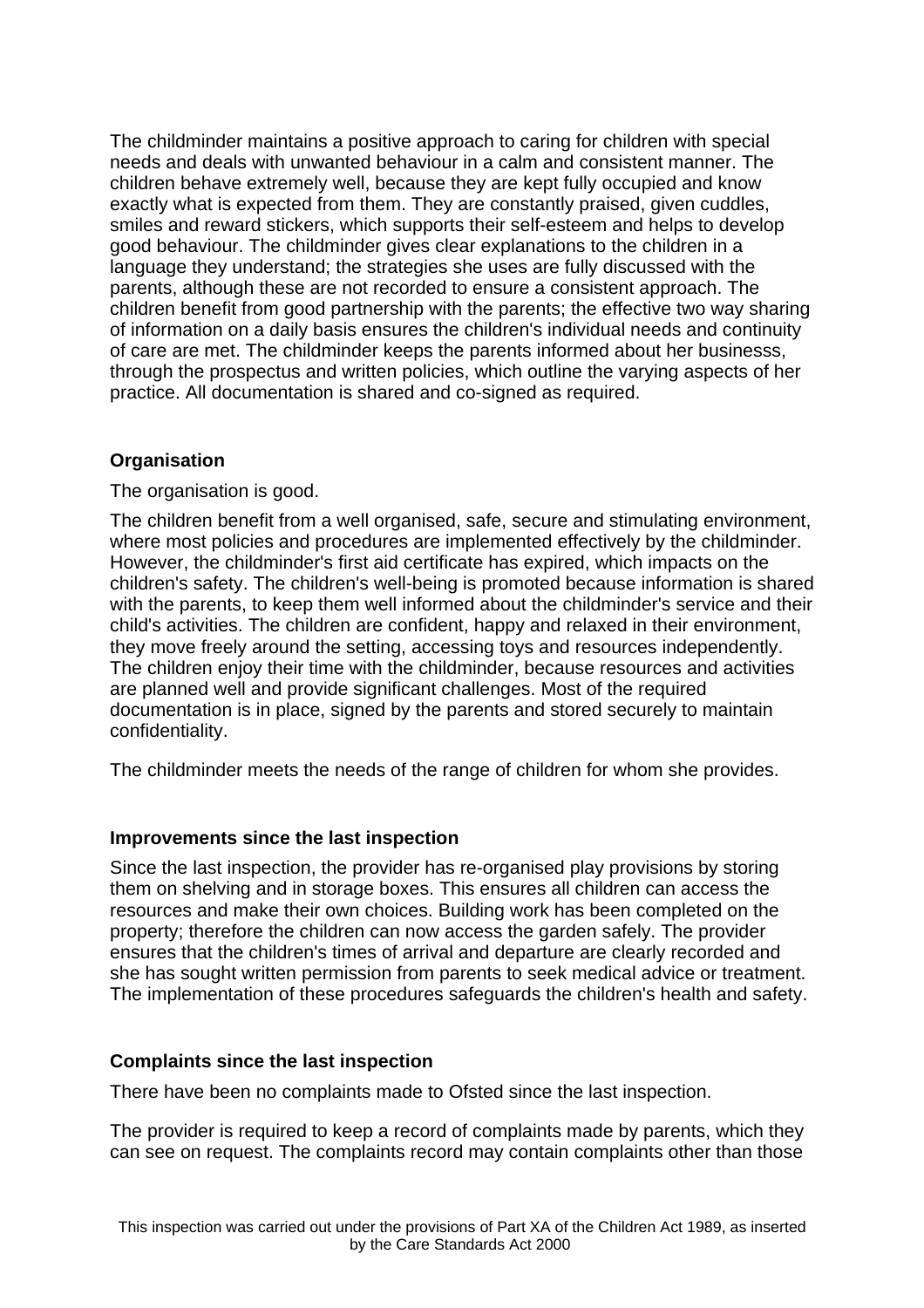The childminder maintains a positive approach to caring for children with special needs and deals with unwanted behaviour in a calm and consistent manner. The children behave extremely well, because they are kept fully occupied and know exactly what is expected from them. They are constantly praised, given cuddles, smiles and reward stickers, which supports their self-esteem and helps to develop good behaviour. The childminder gives clear explanations to the children in a language they understand; the strategies she uses are fully discussed with the parents, although these are not recorded to ensure a consistent approach. The children benefit from good partnership with the parents; the effective two way sharing of information on a daily basis ensures the children's individual needs and continuity of care are met. The childminder keeps the parents informed about her businesss, through the prospectus and written policies, which outline the varying aspects of her practice. All documentation is shared and co-signed as required.

## **Organisation**

The organisation is good.

The children benefit from a well organised, safe, secure and stimulating environment, where most policies and procedures are implemented effectively by the childminder. However, the childminder's first aid certificate has expired, which impacts on the children's safety. The children's well-being is promoted because information is shared with the parents, to keep them well informed about the childminder's service and their child's activities. The children are confident, happy and relaxed in their environment, they move freely around the setting, accessing toys and resources independently. The children enjoy their time with the childminder, because resources and activities are planned well and provide significant challenges. Most of the required documentation is in place, signed by the parents and stored securely to maintain confidentiality.

The childminder meets the needs of the range of children for whom she provides.

### **Improvements since the last inspection**

Since the last inspection, the provider has re-organised play provisions by storing them on shelving and in storage boxes. This ensures all children can access the resources and make their own choices. Building work has been completed on the property; therefore the children can now access the garden safely. The provider ensures that the children's times of arrival and departure are clearly recorded and she has sought written permission from parents to seek medical advice or treatment. The implementation of these procedures safeguards the children's health and safety.

### **Complaints since the last inspection**

There have been no complaints made to Ofsted since the last inspection.

The provider is required to keep a record of complaints made by parents, which they can see on request. The complaints record may contain complaints other than those